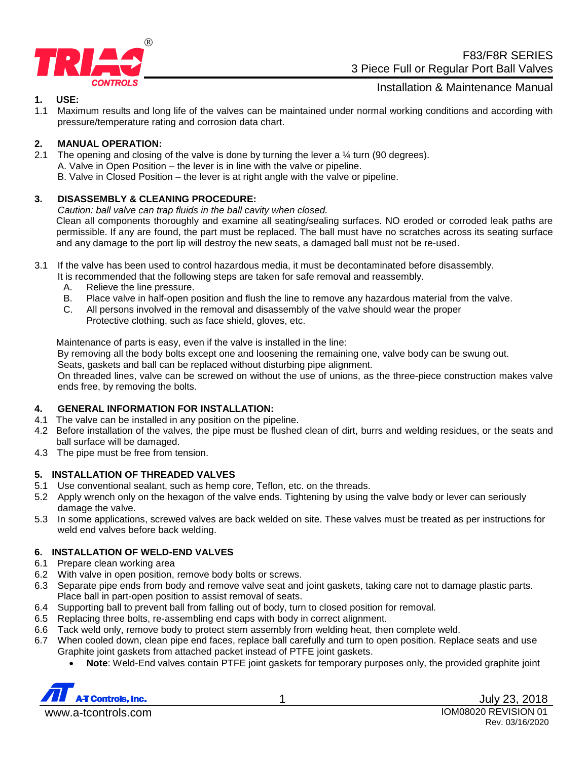

F83/F8R SERIES 3 Piece Full or Regular Port Ball Valves

Installation & Maintenance Manual

### **1. USE:**

1.1 Maximum results and long life of the valves can be maintained under normal working conditions and according with pressure/temperature rating and corrosion data chart.

### **2. MANUAL OPERATION:**

2.1 The opening and closing of the valve is done by turning the lever a  $\frac{1}{4}$  turn (90 degrees). A. Valve in Open Position – the lever is in line with the valve or pipeline. B. Valve in Closed Position – the lever is at right angle with the valve or pipeline.

### **3. DISASSEMBLY & CLEANING PROCEDURE:**

*Caution: ball valve can trap fluids in the ball cavity when closed.*

Clean all components thoroughly and examine all seating/sealing surfaces. NO eroded or corroded leak paths are permissible. If any are found, the part must be replaced. The ball must have no scratches across its seating surface and any damage to the port lip will destroy the new seats, a damaged ball must not be re-used.

3.1 If the valve has been used to control hazardous media, it must be decontaminated before disassembly.

It is recommended that the following steps are taken for safe removal and reassembly.

- A. Relieve the line pressure.
- B. Place valve in half-open position and flush the line to remove any hazardous material from the valve.
- C. All persons involved in the removal and disassembly of the valve should wear the proper
	- Protective clothing, such as face shield, gloves, etc.

Maintenance of parts is easy, even if the valve is installed in the line:

By removing all the body bolts except one and loosening the remaining one, valve body can be swung out.

Seats, gaskets and ball can be replaced without disturbing pipe alignment.

On threaded lines, valve can be screwed on without the use of unions, as the three-piece construction makes valve ends free, by removing the bolts.

### **4. GENERAL INFORMATION FOR INSTALLATION:**

- 4.1 The valve can be installed in any position on the pipeline.
- 4.2 Before installation of the valves, the pipe must be flushed clean of dirt, burrs and welding residues, or the seats and ball surface will be damaged.
- 4.3 The pipe must be free from tension.

### **5. INSTALLATION OF THREADED VALVES**

- 5.1 Use conventional sealant, such as hemp core, Teflon, etc. on the threads.
- 5.2 Apply wrench only on the hexagon of the valve ends. Tightening by using the valve body or lever can seriously damage the valve.
- 5.3 In some applications, screwed valves are back welded on site. These valves must be treated as per instructions for weld end valves before back welding.

### **6. INSTALLATION OF WELD-END VALVES**

- 6.1 Prepare clean working area
- 6.2 With valve in open position, remove body bolts or screws.
- 6.3 Separate pipe ends from body and remove valve seat and joint gaskets, taking care not to damage plastic parts. Place ball in part-open position to assist removal of seats.
- 6.4 Supporting ball to prevent ball from falling out of body, turn to closed position for removal.
- 6.5 Replacing three bolts, re-assembling end caps with body in correct alignment.
- 6.6 Tack weld only, remove body to protect stem assembly from welding heat, then complete weld.
- 6.7 When cooled down, clean pipe end faces, replace ball carefully and turn to open position. Replace seats and use Graphite joint gaskets from attached packet instead of PTFE joint gaskets.
	- **Note**: Weld-End valves contain PTFE joint gaskets for temporary purposes only, the provided graphite joint

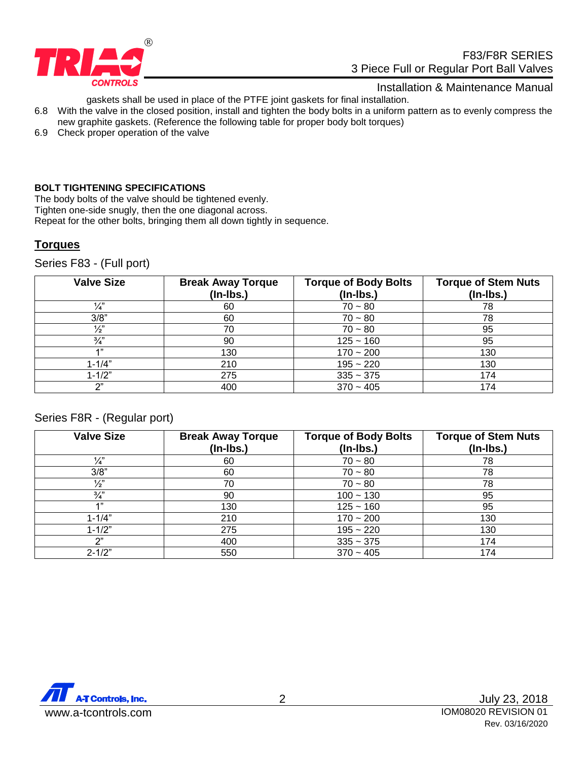

### Installation & Maintenance Manual

gaskets shall be used in place of the PTFE joint gaskets for final installation.

- 6.8 With the valve in the closed position, install and tighten the body bolts in a uniform pattern as to evenly compress the new graphite gaskets. (Reference the following table for proper body bolt torques)
- 6.9 Check proper operation of the valve

#### **BOLT TIGHTENING SPECIFICATIONS**

The body bolts of the valve should be tightened evenly. Tighten one-side snugly, then the one diagonal across.

Repeat for the other bolts, bringing them all down tightly in sequence.

# **Torques**

Series F83 - (Full port)

| <b>Valve Size</b> | <b>Break Away Torque</b><br>$($ ln-lbs. $)$ | <b>Torque of Body Bolts</b><br>$($ ln-lbs. $)$ | <b>Torque of Stem Nuts</b><br>$(In-lbs.)$ |
|-------------------|---------------------------------------------|------------------------------------------------|-------------------------------------------|
| $\frac{1}{4}$     | 60                                          | $70 - 80$                                      | 78                                        |
| 3/8"              | 60                                          | $70 - 80$                                      | 78                                        |
| $\frac{1}{2}$     | 70                                          | $70 - 80$                                      | 95                                        |
| $\frac{3}{4}$     | 90                                          | $125 - 160$                                    | 95                                        |
| 4"                | 130                                         | $170 - 200$                                    | 130                                       |
| $1 - 1/4"$        | 210                                         | $195 - 220$                                    | 130                                       |
| $1 - 1/2"$        | 275                                         | $335 - 375$                                    | 174                                       |
| יירי              | 400                                         | $370 - 405$                                    | 174                                       |

### Series F8R - (Regular port)

| <b>Valve Size</b> | <b>Break Away Torque</b><br>$($ ln-lbs. $)$ | <b>Torque of Body Bolts</b><br>$($ ln-lbs. $)$ | <b>Torque of Stem Nuts</b><br>$($ ln-lbs. $)$ |
|-------------------|---------------------------------------------|------------------------------------------------|-----------------------------------------------|
| $\frac{1}{4}$     | 60                                          | $70 - 80$                                      | 78                                            |
| 3/8"              | 60                                          | $70 - 80$                                      | 78                                            |
| $\frac{1}{2}$     | 70                                          | $70 - 80$                                      | 78                                            |
| $\frac{3}{4}$     | 90                                          | $100 - 130$                                    | 95                                            |
| 4"                | 130                                         | $125 - 160$                                    | 95                                            |
| $1 - 1/4"$        | 210                                         | $170 - 200$                                    | 130                                           |
| $1 - 1/2"$        | 275                                         | $195 - 220$                                    | 130                                           |
| ን"                | 400                                         | $335 - 375$                                    | 174                                           |
| $2 - 1/2"$        | 550                                         | $370 - 405$                                    | 174                                           |